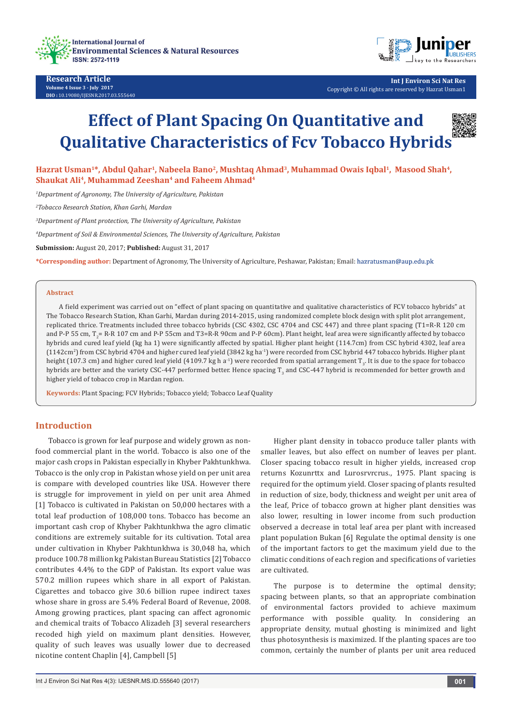



**Int J Environ Sci Nat Res** Copyright © All rights are reserved by Hazrat Usman1

# **Effect of Plant Spacing On Quantitative and Qualitative Characteristics of Fcv Tobacco Hybrids**

Hazrat Usman<sup>1\*</sup>, Abdul Qahar<sup>1</sup>, Nabeela Bano<sup>2</sup>, Mushtaq Ahmad<sup>3</sup>, Muhammad Owais Iqbal<sup>1</sup>, Masood Shah<sup>4</sup>, **Shaukat Ali4, Muhammad Zeeshan4 and Faheem Ahmad4**

*1 Department of Agronomy, The University of Agriculture, Pakistan*

*2 Tobacco Research Station, Khan Garhi, Mardan*

*3 Department of Plant protection, The University of Agriculture, Pakistan* 

*4 Department of Soil & Environmental Sciences, The University of Agriculture, Pakistan*

**Submission:** August 20, 2017; **Published:** August 31, 2017

**\*Corresponding author:** Department of Agronomy, The University of Agriculture, Peshawar, Pakistan; Email:

#### **Abstract**

A field experiment was carried out on "effect of plant spacing on quantitative and qualitative characteristics of FCV tobacco hybrids" at The Tobacco Research Station, Khan Garhi, Mardan during 2014-2015, using randomized complete block design with split plot arrangement, replicated thrice. Treatments included three tobacco hybrids (CSC 4302, CSC 4704 and CSC 447) and three plant spacing (T1=R-R 120 cm and P-P 55 cm, T<sub>2</sub>= R-R 107 cm and P-P 55cm and T3=R-R 90cm and P-P 60cm). Plant height, leaf area were significantly affected by tobacco hybrids and cured leaf yield (kg ha 1) were significantly affected by spatial. Higher plant height (114.7cm) from CSC hybrid 4302, leaf area (1142cm<sup>2</sup> ) from CSC hybrid 4704 and higher cured leaf yield (3842 kg ha-1) were recorded from CSC hybrid 447 tobacco hybrids. Higher plant height (107.3 cm) and higher cured leaf yield (4109.7 kg h a<sup>.</sup>l) were recorded from spatial arrangement  $\mathrm{T}_{_3}$ . It is due to the space for tobacco hybrids are better and the variety CSC-447 performed better. Hence spacing T<sub>3</sub> and CSC-447 hybrid is recommended for better growth and higher yield of tobacco crop in Mardan region.

**Keywords:** Plant Spacing; FCV Hybrids; Tobacco yield; Tobacco Leaf Quality

## **Introduction**

Tobacco is grown for leaf purpose and widely grown as nonfood commercial plant in the world. Tobacco is also one of the major cash crops in Pakistan especially in Khyber Pakhtunkhwa. Tobacco is the only crop in Pakistan whose yield on per unit area is compare with developed countries like USA. However there is struggle for improvement in yield on per unit area Ahmed [1] Tobacco is cultivated in Pakistan on 50,000 hectares with a total leaf production of 108,000 tons. Tobacco has become an important cash crop of Khyber Pakhtunkhwa the agro climatic conditions are extremely suitable for its cultivation. Total area under cultivation in Khyber Pakhtunkhwa is 30,048 ha, which produce 100.78 million kg Pakistan Bureau Statistics [2] Tobacco contributes 4.4% to the GDP of Pakistan. Its export value was 570.2 million rupees which share in all export of Pakistan. Cigarettes and tobacco give 30.6 billion rupee indirect taxes whose share in gross are 5.4% Federal Board of Revenue, 2008. Among growing practices, plant spacing can affect agronomic and chemical traits of Tobacco Alizadeh [3] several researchers recoded high yield on maximum plant densities. However, quality of such leaves was usually lower due to decreased nicotine content Chaplin [4], Campbell [5]

Higher plant density in tobacco produce taller plants with smaller leaves, but also effect on number of leaves per plant. Closer spacing tobacco result in higher yields, increased crop returns Kozunrttx and Lurosrvrcrus., 1975. Plant spacing is required for the optimum yield. Closer spacing of plants resulted in reduction of size, body, thickness and weight per unit area of the leaf, Price of tobacco grown at higher plant densities was also lower, resulting in lower income from such production observed a decrease in total leaf area per plant with increased plant population Bukan [6] Regulate the optimal density is one of the important factors to get the maximum yield due to the climatic conditions of each region and specifications of varieties are cultivated.

The purpose is to determine the optimal density; spacing between plants, so that an appropriate combination of environmental factors provided to achieve maximum performance with possible quality. In considering an appropriate density, mutual ghosting is minimized and light thus photosynthesis is maximized. If the planting spaces are too common, certainly the number of plants per unit area reduced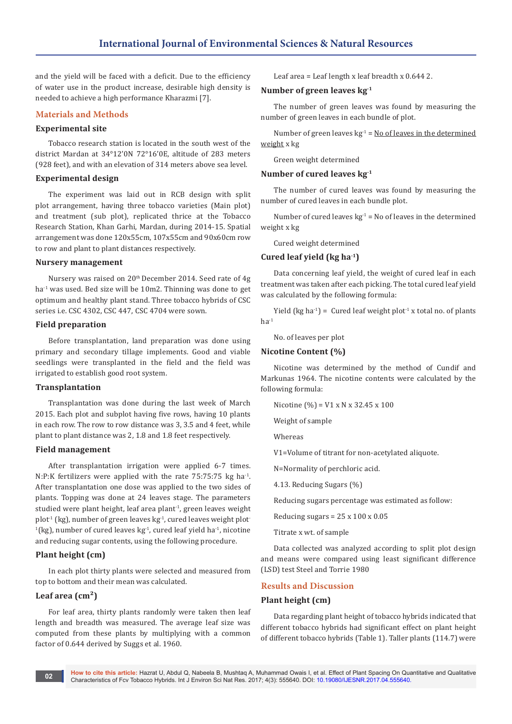and the yield will be faced with a deficit. Due to the efficiency of water use in the product increase, desirable high density is needed to achieve a high performance Kharazmi [7].

## **Materials and Methods**

## **Experimental site**

Tobacco research station is located in the south west of the district Mardan at 34°12'0N 72°16'0E, altitude of 283 meters (928 feet), and with an elevation of 314 meters above sea level.

#### **Experimental design**

The experiment was laid out in RCB design with split plot arrangement, having three tobacco varieties (Main plot) and treatment (sub plot), replicated thrice at the Tobacco Research Station, Khan Garhi, Mardan, during 2014-15. Spatial arrangement was done 120x55cm, 107x55cm and 90x60cm row to row and plant to plant distances respectively.

#### **Nursery management**

Nursery was raised on 20th December 2014. Seed rate of 4g ha<sup>-1</sup> was used. Bed size will be 10m2. Thinning was done to get optimum and healthy plant stand. Three tobacco hybrids of CSC series i.e. CSC 4302, CSC 447, CSC 4704 were sown.

#### **Field preparation**

Before transplantation, land preparation was done using primary and secondary tillage implements. Good and viable seedlings were transplanted in the field and the field was irrigated to establish good root system.

### **Transplantation**

Transplantation was done during the last week of March 2015. Each plot and subplot having five rows, having 10 plants in each row. The row to row distance was 3, 3.5 and 4 feet, while plant to plant distance was 2, 1.8 and 1.8 feet respectively.

#### **Field management**

After transplantation irrigation were applied 6-7 times. N:P:K fertilizers were applied with the rate 75:75:75 kg ha-1. After transplantation one dose was applied to the two sides of plants. Topping was done at 24 leaves stage. The parameters studied were plant height, leaf area plant<sup>1</sup>, green leaves weight plot<sup>-1</sup> (kg), number of green leaves kg<sup>-1</sup>, cured leaves weight plot<sup>-</sup>  $1$ (kg), number of cured leaves kg $1$ , cured leaf yield ha $1$ , nicotine and reducing sugar contents, using the following procedure.

### **Plant height (cm)**

In each plot thirty plants were selected and measured from top to bottom and their mean was calculated.

### **Leaf area (cm²)**

For leaf area, thirty plants randomly were taken then leaf length and breadth was measured. The average leaf size was computed from these plants by multiplying with a common factor of 0.644 derived by Suggs et al. 1960.

Leaf area = Leaf length x leaf breadth x 0.644 2.

#### **Number of green leaves kg-1**

The number of green leaves was found by measuring the number of green leaves in each bundle of plot.

Number of green leaves  $kg<sup>-1</sup> = No of leaves in the determined$ weight x kg

Green weight determined

#### **Number of cured leaves kg-1**

The number of cured leaves was found by measuring the number of cured leaves in each bundle plot.

Number of cured leaves  $kg^{-1}$  = No of leaves in the determined weight x kg

Cured weight determined

## **Cured leaf yield (kg ha-1)**

Data concerning leaf yield, the weight of cured leaf in each treatment was taken after each picking. The total cured leaf yield was calculated by the following formula:

Yield (kg ha<sup>-1</sup>) = Cured leaf weight plot<sup>-1</sup> x total no. of plants  $ha^{-1}$ 

No. of leaves per plot

#### **Nicotine Content (%)**

Nicotine was determined by the method of Cundif and Markunas 1964. The nicotine contents were calculated by the following formula:

Nicotine  $(\% ) = V1 \times N \times 32.45 \times 100$ 

Weight of sample

Whereas

V1=Volume of titrant for non-acetylated aliquote.

N=Normality of perchloric acid.

4.13. Reducing Sugars (%)

Reducing sugars percentage was estimated as follow:

Reducing sugars =  $25 \times 100 \times 0.05$ 

Titrate x wt. of sample

Data collected was analyzed according to split plot design and means were compared using least significant difference (LSD) test Steel and Torrie 1980

### **Results and Discussion**

### **Plant height (cm)**

Data regarding plant height of tobacco hybrids indicated that different tobacco hybrids had significant effect on plant height of different tobacco hybrids (Table 1). Taller plants (114.7) were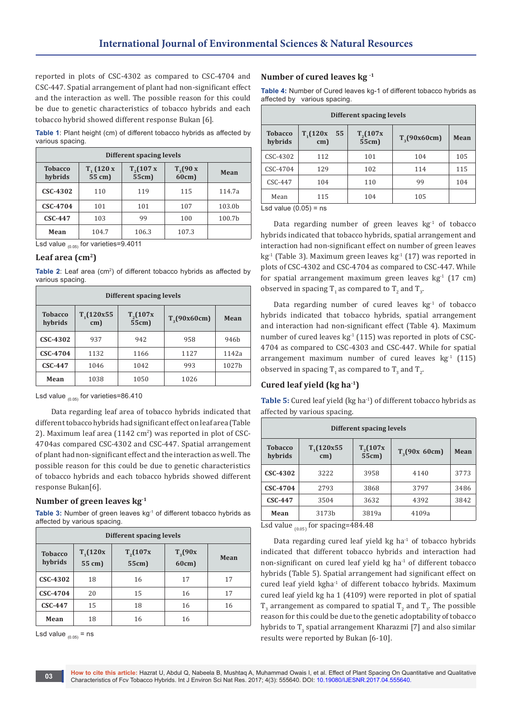reported in plots of CSC-4302 as compared to CSC-4704 and CSC-447. Spatial arrangement of plant had non-significant effect and the interaction as well. The possible reason for this could be due to genetic characteristics of tobacco hybrids and each tobacco hybrid showed different response Bukan [6].

**Table 1**: Plant height (cm) of different tobacco hybrids as affected by various spacing.

| Different spacing levels                                                                                          |       |       |       |        |  |
|-------------------------------------------------------------------------------------------------------------------|-------|-------|-------|--------|--|
| $T_{2}(107 x$<br>$T_{3}(90 x)$<br>$T_{1}$ (120 x<br><b>Tobacco</b><br>Mean<br>55 cm)<br>55cm)<br>60cm)<br>hybrids |       |       |       |        |  |
| CSC-4302                                                                                                          | 110   | 119   | 115   | 114.7a |  |
| CSC-4704                                                                                                          | 101   | 101   | 107   | 103.0b |  |
| <b>CSC-447</b>                                                                                                    | 103   | 99    | 100   | 100.7b |  |
| Mean                                                                                                              | 104.7 | 106.3 | 107.3 |        |  |

Lsd value  $_{(0.05)}$  for varieties=9.4011

### Leaf area (cm<sup>2</sup>)

**Table 2**: Leaf area (cm<sup>2</sup>) of different tobacco hybrids as affected by various spacing.

| Different spacing levels  |                  |                       |                  |                  |  |
|---------------------------|------------------|-----------------------|------------------|------------------|--|
| <b>Tobacco</b><br>hybrids | T(120x55)<br>cm) | $T_{2}(107x$<br>55cm) | $T_{3}(90x60cm)$ | Mean             |  |
| CSC-4302                  | 937              | 942                   | 958              | 946 <sub>b</sub> |  |
| CSC-4704                  | 1132             | 1166                  | 1127             | 1142a            |  |
| $CSC-447$                 | 1046             | 1042                  | 993              | 1027b            |  |
| Mean                      | 1038             | 1050                  | 1026             |                  |  |

Lsd value  $_{(0.05)}$  for varieties=86.410

 Data regarding leaf area of tobacco hybrids indicated that different tobacco hybrids had significant effect on leaf area (Table 2). Maximum leaf area  $(1142 \text{ cm}^2)$  was reported in plot of CSC-4704as compared CSC-4302 and CSC-447. Spatial arrangement of plant had non-significant effect and the interaction as well. The possible reason for this could be due to genetic characteristics of tobacco hybrids and each tobacco hybrids showed different response Bukan[6].

# **Number of green leaves kg-1**

Table 3: Number of green leaves kg<sup>-1</sup> of different tobacco hybrids as affected by various spacing.

| Different spacing levels  |      |    |    |    |  |
|---------------------------|------|----|----|----|--|
| <b>Tobacco</b><br>hybrids | Mean |    |    |    |  |
| CSC-4302                  | 18   | 16 | 17 | 17 |  |
| CSC-4704                  | 20   | 15 | 16 | 17 |  |
| <b>CSC-447</b>            | 15   | 18 | 16 | 16 |  |
| Mean                      | 18   | 16 | 16 |    |  |

Lsd value  $_{(0.05)}$  = ns

## **Number of cured leaves kg -1**

**Table 4:** Number of Cured leaves kg-1 of different tobacco hybrids as affected by various spacing.

| Different spacing levels  |                           |                       |                  |      |  |
|---------------------------|---------------------------|-----------------------|------------------|------|--|
| <b>Tobacco</b><br>hybrids | $T_{1}(120x$<br>55<br>cm) | $T_{2}(107x$<br>55cm) | $T_{3}(90x60cm)$ | Mean |  |
| CSC-4302                  | 112                       | 101                   | 104              | 105  |  |
| $CSC-4704$                | 129                       | 102                   | 114              | 115  |  |
| $CSC-447$                 | 104                       | 110                   | 99               | 104  |  |
| Mean                      | 115                       | 104                   | 105              |      |  |

Lsd value  $(0.05)$  = ns

Data regarding number of green leaves  $kg<sup>-1</sup>$  of tobacco hybrids indicated that tobacco hybrids, spatial arrangement and interaction had non-significant effect on number of green leaves kg<sup>-1</sup> (Table 3). Maximum green leaves kg<sup>-1</sup> (17) was reported in plots of CSC-4302 and CSC-4704 as compared to CSC-447. While for spatial arrangement maximum green leaves  $kg<sup>-1</sup>$  (17 cm) observed in spacing  $T_1$  as compared to  $T_2$  and  $T_3$ .

Data regarding number of cured leaves  $kg<sup>-1</sup>$  of tobacco hybrids indicated that tobacco hybrids, spatial arrangement and interaction had non-significant effect (Table 4). Maximum number of cured leaves kg-1 (115) was reported in plots of CSC-4704 as compared to CSC-4303 and CSC-447. While for spatial arrangement maximum number of cured leaves  $kg<sup>-1</sup>$  (115) observed in spacing  $T_1$  as compared to  $T_3$  and  $T_2$ .

# **Cured leaf yield (kg ha-1)**

**Table 5:** Cured leaf yield (kg ha<sup>-1</sup>) of different tobacco hybrids as affected by various spacing.

| Different spacing levels  |                      |                       |                    |      |  |
|---------------------------|----------------------|-----------------------|--------------------|------|--|
| <b>Tobacco</b><br>hybrids | $T_1$ (120x55<br>cm) | $T_{2}(107x$<br>55cm) | $T_{2}(90x\ 60cm)$ | Mean |  |
| CSC-4302                  | 3222                 | 3958                  | 4140               | 3773 |  |
| CSC-4704                  | 2793                 | 3868                  | 3797               | 3486 |  |
| $CSC-447$                 | 3504                 | 3632                  | 4392               | 3842 |  |
| Mean                      | 3173b                | 3819a                 | 4109a              |      |  |

Lsd value  $_{(0.05)}$  for spacing=484.48

Data regarding cured leaf yield  $kg$  ha<sup>-1</sup> of tobacco hybrids indicated that different tobacco hybrids and interaction had non-significant on cured leaf yield  $kg$  ha<sup>-1</sup> of different tobacco hybrids (Table 5). Spatial arrangement had significant effect on cured leaf yield kgha<sup>-1</sup> of different tobacco hybrids. Maximum cured leaf yield kg ha 1 (4109) were reported in plot of spatial  $T_3$  arrangement as compared to spatial  $T_2$  and  $T_3$ . The possible reason for this could be due to the genetic adoptability of tobacco hybrids to  $T_3$  spatial arrangement Kharazmi [7] and also similar results were reported by Bukan [6-10].